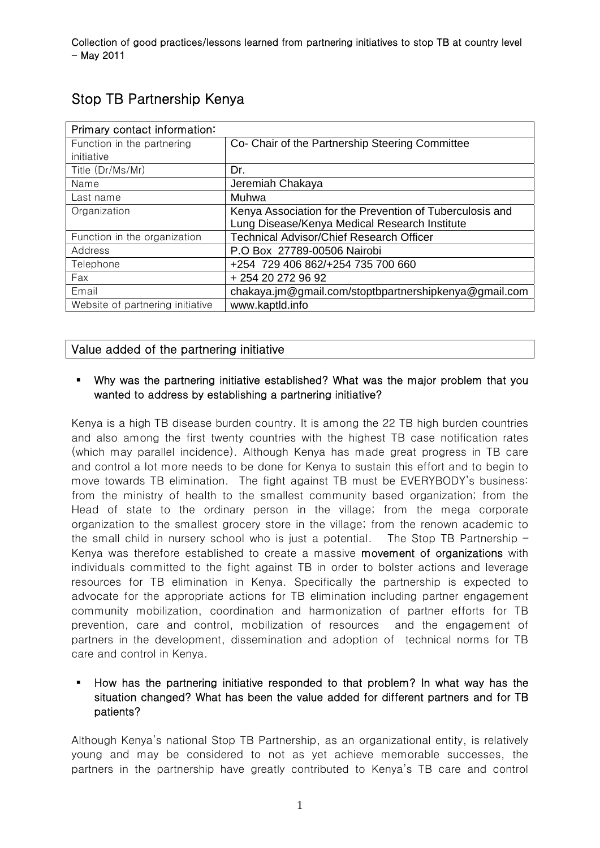| Primary contact information:     |                                                          |
|----------------------------------|----------------------------------------------------------|
| Function in the partnering       | Co- Chair of the Partnership Steering Committee          |
| initiative                       |                                                          |
| Title (Dr/Ms/Mr)                 | Dr.                                                      |
| Name                             | Jeremiah Chakaya                                         |
| Last name                        | Muhwa                                                    |
| Organization                     | Kenya Association for the Prevention of Tuberculosis and |
|                                  | Lung Disease/Kenya Medical Research Institute            |
| Function in the organization     | <b>Technical Advisor/Chief Research Officer</b>          |
| Address                          | P.O Box 27789-00506 Nairobi                              |
| Telephone                        | +254 729 406 862/+254 735 700 660                        |
| Fax                              | + 254 20 272 96 92                                       |
| Email                            | chakaya.jm@gmail.com/stoptbpartnershipkenya@gmail.com    |
| Website of partnering initiative | www.kaptld.info                                          |

# Stop TB Partnership Kenya

# Value added of the partnering initiative

#### Why was the partnering initiative established? What was the major problem that you wanted to address by establishing a partnering initiative?

Kenya is a high TB disease burden country. It is among the 22 TB high burden countries and also among the first twenty countries with the highest TB case notification rates (which may parallel incidence). Although Kenya has made great progress in TB care and control a lot more needs to be done for Kenya to sustain this effort and to begin to move towards TB elimination. The fight against TB must be EVERYBODY's business: from the ministry of health to the smallest community based organization; from the Head of state to the ordinary person in the village; from the mega corporate organization to the smallest grocery store in the village; from the renown academic to the small child in nursery school who is just a potential. The Stop TB Partnership  $-$ Kenya was therefore established to create a massive movement of organizations with individuals committed to the fight against TB in order to bolster actions and leverage resources for TB elimination in Kenya. Specifically the partnership is expected to advocate for the appropriate actions for TB elimination including partner engagement community mobilization, coordination and harmonization of partner efforts for TB prevention, care and control, mobilization of resources and the engagement of partners in the development, dissemination and adoption of technical norms for TB care and control in Kenya.

## How has the partnering initiative responded to that problem? In what way has the situation changed? What has been the value added for different partners and for TB patients?

Although Kenya's national Stop TB Partnership, as an organizational entity, is relatively young and may be considered to not as yet achieve memorable successes, the partners in the partnership have greatly contributed to Kenya's TB care and control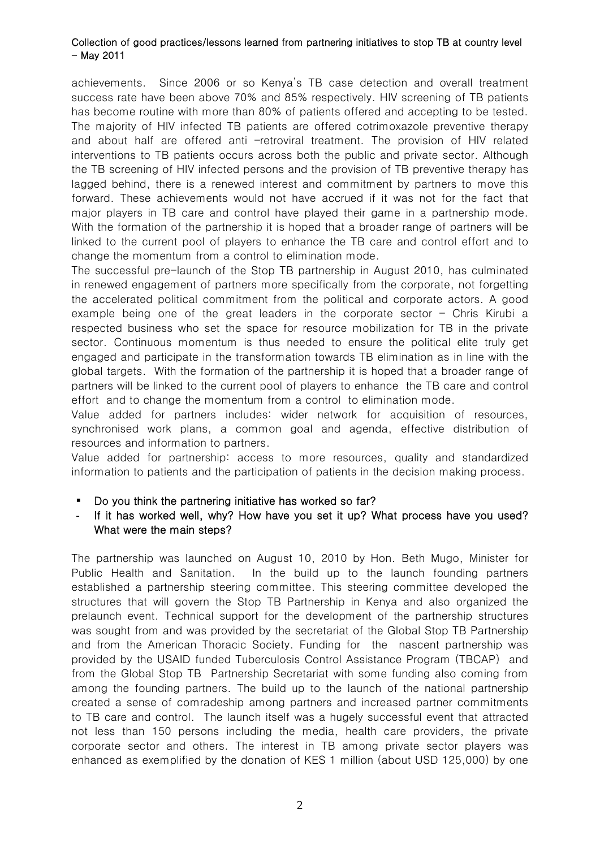achievements. Since 2006 or so Kenya's TB case detection and overall treatment success rate have been above 70% and 85% respectively. HIV screening of TB patients has become routine with more than 80% of patients offered and accepting to be tested. The majority of HIV infected TB patients are offered cotrimoxazole preventive therapy and about half are offered anti –retroviral treatment. The provision of HIV related interventions to TB patients occurs across both the public and private sector. Although the TB screening of HIV infected persons and the provision of TB preventive therapy has lagged behind, there is a renewed interest and commitment by partners to move this forward. These achievements would not have accrued if it was not for the fact that major players in TB care and control have played their game in a partnership mode. With the formation of the partnership it is hoped that a broader range of partners will be linked to the current pool of players to enhance the TB care and control effort and to change the momentum from a control to elimination mode.

The successful pre-launch of the Stop TB partnership in August 2010, has culminated in renewed engagement of partners more specifically from the corporate, not forgetting the accelerated political commitment from the political and corporate actors. A good example being one of the great leaders in the corporate sector  $-$  Chris Kirubi a respected business who set the space for resource mobilization for TB in the private sector. Continuous momentum is thus needed to ensure the political elite truly get engaged and participate in the transformation towards TB elimination as in line with the global targets. With the formation of the partnership it is hoped that a broader range of partners will be linked to the current pool of players to enhance the TB care and control effort and to change the momentum from a control to elimination mode.

Value added for partners includes: wider network for acquisition of resources, synchronised work plans, a common goal and agenda, effective distribution of resources and information to partners.

Value added for partnership: access to more resources, quality and standardized information to patients and the participation of patients in the decision making process.

- Do you think the partnering initiative has worked so far?
- If it has worked well, why? How have you set it up? What process have you used? What were the main steps?

The partnership was launched on August 10, 2010 by Hon. Beth Mugo, Minister for Public Health and Sanitation. In the build up to the launch founding partners established a partnership steering committee. This steering committee developed the structures that will govern the Stop TB Partnership in Kenya and also organized the prelaunch event. Technical support for the development of the partnership structures was sought from and was provided by the secretariat of the Global Stop TB Partnership and from the American Thoracic Society. Funding for the nascent partnership was provided by the USAID funded Tuberculosis Control Assistance Program (TBCAP) and from the Global Stop TB Partnership Secretariat with some funding also coming from among the founding partners. The build up to the launch of the national partnership created a sense of comradeship among partners and increased partner commitments to TB care and control. The launch itself was a hugely successful event that attracted not less than 150 persons including the media, health care providers, the private corporate sector and others. The interest in TB among private sector players was enhanced as exemplified by the donation of KES 1 million (about USD 125,000) by one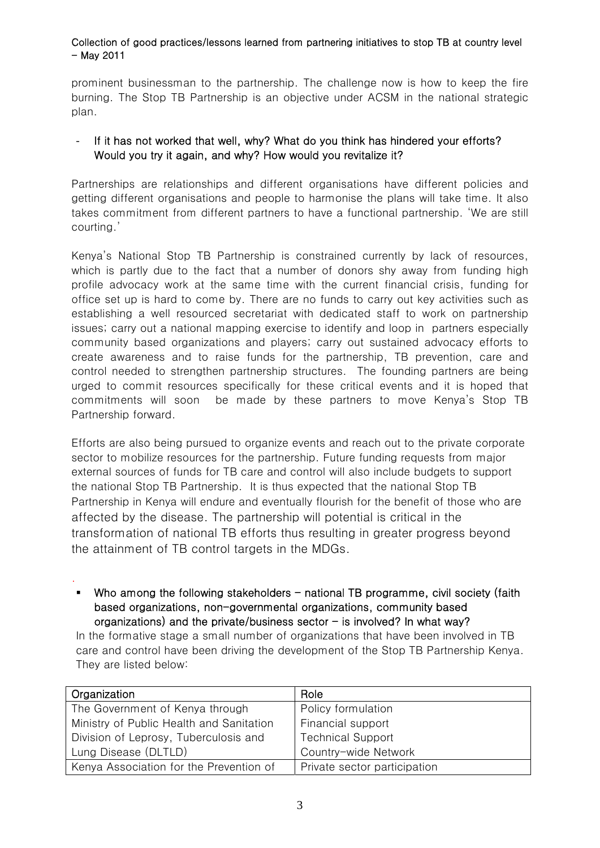prominent businessman to the partnership. The challenge now is how to keep the fire burning. The Stop TB Partnership is an objective under ACSM in the national strategic plan.

## If it has not worked that well, why? What do you think has hindered your efforts? Would you try it again, and why? How would you revitalize it?

Partnerships are relationships and different organisations have different policies and getting different organisations and people to harmonise the plans will take time. It also takes commitment from different partners to have a functional partnership. 'We are still courting.'

Kenya's National Stop TB Partnership is constrained currently by lack of resources, which is partly due to the fact that a number of donors shy away from funding high profile advocacy work at the same time with the current financial crisis, funding for office set up is hard to come by. There are no funds to carry out key activities such as establishing a well resourced secretariat with dedicated staff to work on partnership issues; carry out a national mapping exercise to identify and loop in partners especially community based organizations and players; carry out sustained advocacy efforts to create awareness and to raise funds for the partnership, TB prevention, care and control needed to strengthen partnership structures. The founding partners are being urged to commit resources specifically for these critical events and it is hoped that commitments will soon be made by these partners to move Kenya's Stop TB Partnership forward.

Efforts are also being pursued to organize events and reach out to the private corporate sector to mobilize resources for the partnership. Future funding requests from major external sources of funds for TB care and control will also include budgets to support the national Stop TB Partnership. It is thus expected that the national Stop TB Partnership in Kenya will endure and eventually flourish for the benefit of those who are affected by the disease. The partnership will potential is critical in the transformation of national TB efforts thus resulting in greater progress beyond the attainment of TB control targets in the MDGs.

 Who among the following stakeholders - national TB programme, civil society (faith based organizations, non-governmental organizations, community based organizations) and the private/business sector  $-$  is involved? In what way?

.

In the formative stage a small number of organizations that have been involved in TB care and control have been driving the development of the Stop TB Partnership Kenya. They are listed below:

| Organization                             | Role                         |
|------------------------------------------|------------------------------|
| The Government of Kenya through          | Policy formulation           |
| Ministry of Public Health and Sanitation | Financial support            |
| Division of Leprosy, Tuberculosis and    | <b>Technical Support</b>     |
| Lung Disease (DLTLD)                     | Country-wide Network         |
| Kenya Association for the Prevention of  | Private sector participation |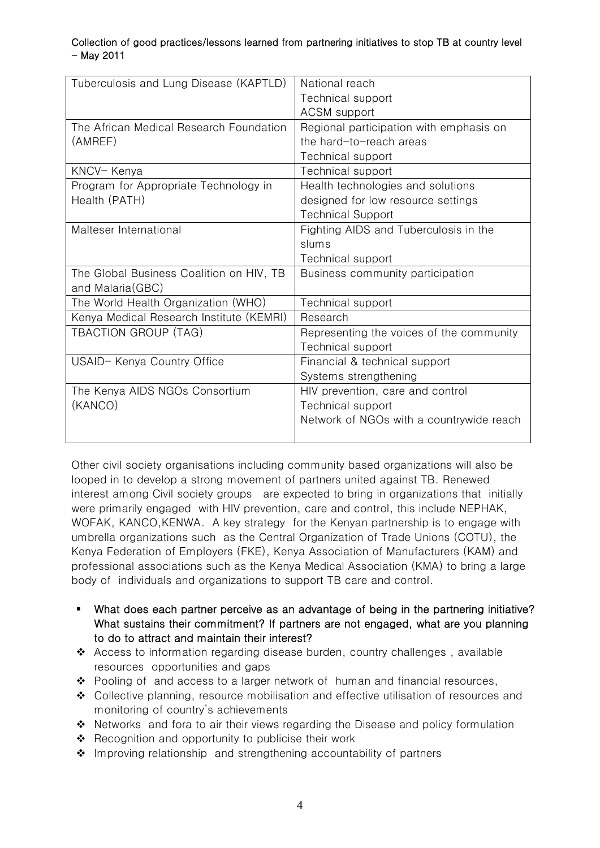| Tuberculosis and Lung Disease (KAPTLD)   | National reach                           |
|------------------------------------------|------------------------------------------|
|                                          | Technical support                        |
|                                          | <b>ACSM</b> support                      |
| The African Medical Research Foundation  | Regional participation with emphasis on  |
| (AMREF)                                  | the hard-to-reach areas                  |
|                                          | Technical support                        |
| KNCV-Kenya                               | Technical support                        |
| Program for Appropriate Technology in    | Health technologies and solutions        |
| Health (PATH)                            | designed for low resource settings       |
|                                          | <b>Technical Support</b>                 |
| Malteser International                   | Fighting AIDS and Tuberculosis in the    |
|                                          | slums                                    |
|                                          | Technical support                        |
| The Global Business Coalition on HIV, TB | Business community participation         |
| and Malaria (GBC)                        |                                          |
| The World Health Organization (WHO)      | Technical support                        |
| Kenya Medical Research Institute (KEMRI) | Research                                 |
| <b>TBACTION GROUP (TAG)</b>              | Representing the voices of the community |
|                                          | Technical support                        |
| USAID- Kenya Country Office              | Financial & technical support            |
|                                          | Systems strengthening                    |
| The Kenya AIDS NGOs Consortium           | HIV prevention, care and control         |
| (KANCO)                                  | Technical support                        |
|                                          | Network of NGOs with a countrywide reach |
|                                          |                                          |

Other civil society organisations including community based organizations will also be looped in to develop a strong movement of partners united against TB. Renewed interest among Civil society groups are expected to bring in organizations that initially were primarily engaged with HIV prevention, care and control, this include NEPHAK, WOFAK, KANCO,KENWA. A key strategy for the Kenyan partnership is to engage with umbrella organizations such as the Central Organization of Trade Unions (COTU), the Kenya Federation of Employers (FKE), Kenya Association of Manufacturers (KAM) and professional associations such as the Kenya Medical Association (KMA) to bring a large body of individuals and organizations to support TB care and control.

- What does each partner perceive as an advantage of being in the partnering initiative? What sustains their commitment? If partners are not engaged, what are you planning to do to attract and maintain their interest?
- $\triangle$  Access to information regarding disease burden, country challenges, available resources opportunities and gaps
- $\cdot \cdot$  Pooling of and access to a larger network of human and financial resources,
- Collective planning, resource mobilisation and effective utilisation of resources and monitoring of country's achievements
- $\cdot \cdot$  Networks and fora to air their views regarding the Disease and policy formulation
- $\triangle$  Recognition and opportunity to publicise their work
- Improving relationship and strengthening accountability of partners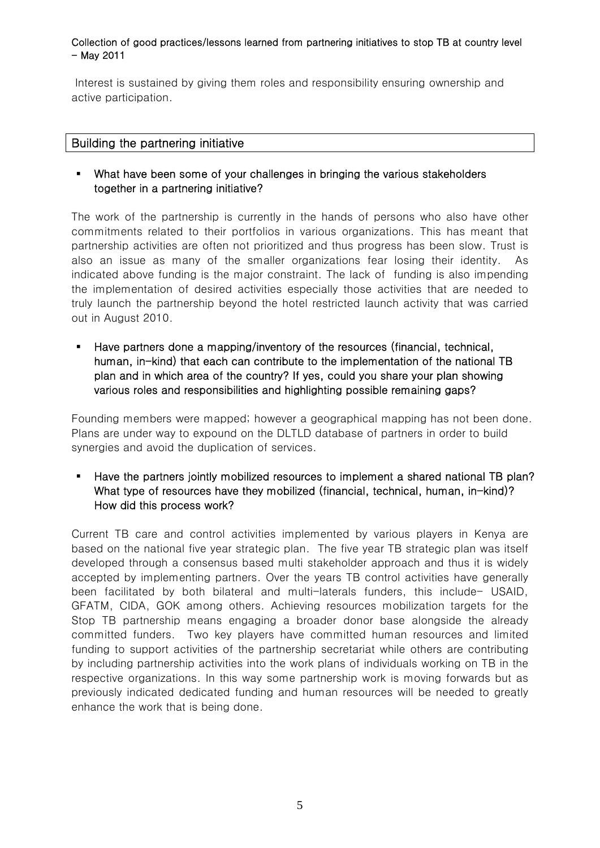Interest is sustained by giving them roles and responsibility ensuring ownership and active participation.

## Building the partnering initiative

## What have been some of your challenges in bringing the various stakeholders together in a partnering initiative?

The work of the partnership is currently in the hands of persons who also have other commitments related to their portfolios in various organizations. This has meant that partnership activities are often not prioritized and thus progress has been slow. Trust is also an issue as many of the smaller organizations fear losing their identity. As indicated above funding is the major constraint. The lack of funding is also impending the implementation of desired activities especially those activities that are needed to truly launch the partnership beyond the hotel restricted launch activity that was carried out in August 2010.

 Have partners done a mapping/inventory of the resources (financial, technical, human, in-kind) that each can contribute to the implementation of the national TB plan and in which area of the country? If yes, could you share your plan showing various roles and responsibilities and highlighting possible remaining gaps?

Founding members were mapped; however a geographical mapping has not been done. Plans are under way to expound on the DLTLD database of partners in order to build synergies and avoid the duplication of services.

 Have the partners jointly mobilized resources to implement a shared national TB plan? What type of resources have they mobilized (financial, technical, human, in-kind)? How did this process work?

Current TB care and control activities implemented by various players in Kenya are based on the national five year strategic plan. The five year TB strategic plan was itself developed through a consensus based multi stakeholder approach and thus it is widely accepted by implementing partners. Over the years TB control activities have generally been facilitated by both bilateral and multi-laterals funders, this include- USAID, GFATM, CIDA, GOK among others. Achieving resources mobilization targets for the Stop TB partnership means engaging a broader donor base alongside the already committed funders. Two key players have committed human resources and limited funding to support activities of the partnership secretariat while others are contributing by including partnership activities into the work plans of individuals working on TB in the respective organizations. In this way some partnership work is moving forwards but as previously indicated dedicated funding and human resources will be needed to greatly enhance the work that is being done.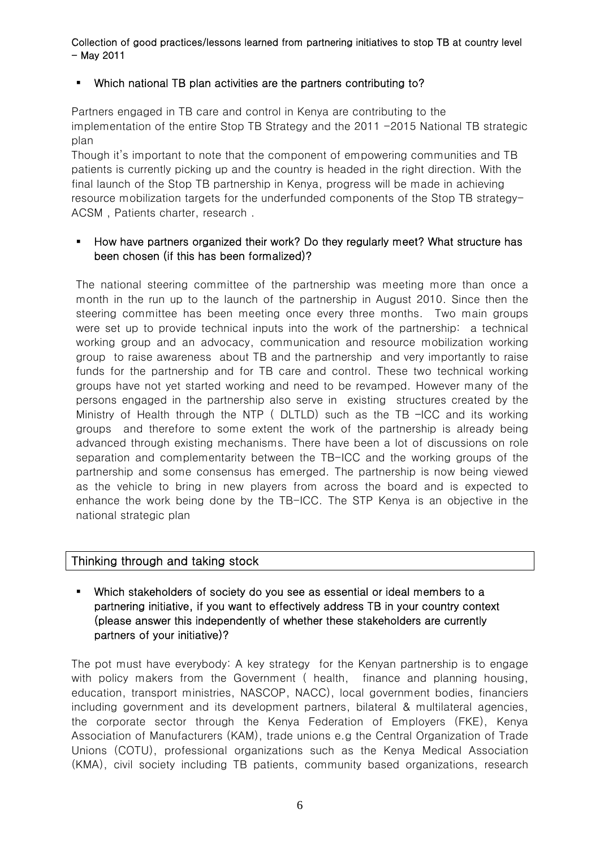#### Which national TB plan activities are the partners contributing to?

Partners engaged in TB care and control in Kenya are contributing to the implementation of the entire Stop TB Strategy and the 2011 -2015 National TB strategic plan

Though it's important to note that the component of empowering communities and TB patients is currently picking up and the country is headed in the right direction. With the final launch of the Stop TB partnership in Kenya, progress will be made in achieving resource mobilization targets for the underfunded components of the Stop TB strategy-ACSM , Patients charter, research .

### How have partners organized their work? Do they regularly meet? What structure has been chosen (if this has been formalized)?

The national steering committee of the partnership was meeting more than once a month in the run up to the launch of the partnership in August 2010. Since then the steering committee has been meeting once every three months. Two main groups were set up to provide technical inputs into the work of the partnership: a technical working group and an advocacy, communication and resource mobilization working group to raise awareness about TB and the partnership and very importantly to raise funds for the partnership and for TB care and control. These two technical working groups have not yet started working and need to be revamped. However many of the persons engaged in the partnership also serve in existing structures created by the Ministry of Health through the NTP (DLTLD) such as the TB -ICC and its working groups and therefore to some extent the work of the partnership is already being advanced through existing mechanisms. There have been a lot of discussions on role separation and complementarity between the TB-ICC and the working groups of the partnership and some consensus has emerged. The partnership is now being viewed as the vehicle to bring in new players from across the board and is expected to enhance the work being done by the TB-ICC. The STP Kenya is an objective in the national strategic plan

### Thinking through and taking stock

 Which stakeholders of society do you see as essential or ideal members to a partnering initiative, if you want to effectively address TB in your country context (please answer this independently of whether these stakeholders are currently partners of your initiative)?

The pot must have everybody: A key strategy for the Kenyan partnership is to engage with policy makers from the Government ( health, finance and planning housing, education, transport ministries, NASCOP, NACC), local government bodies, financiers including government and its development partners, bilateral & multilateral agencies, the corporate sector through the Kenya Federation of Employers (FKE), Kenya Association of Manufacturers (KAM), trade unions e.g the Central Organization of Trade Unions (COTU), professional organizations such as the Kenya Medical Association (KMA), civil society including TB patients, community based organizations, research